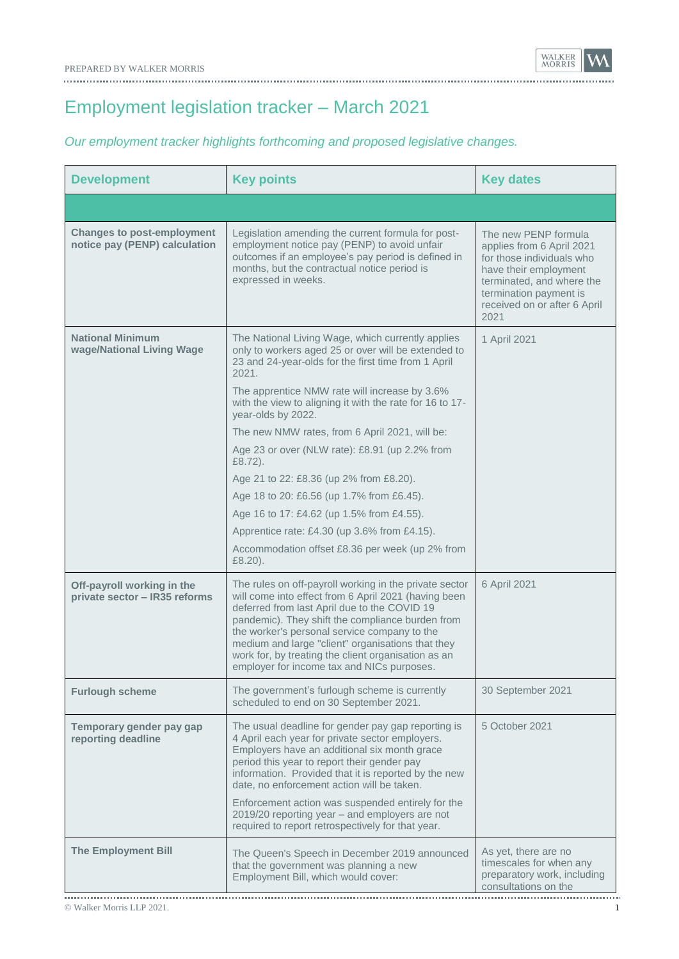Employment legislation tracker – March 2021

## *Our employment tracker highlights forthcoming and proposed legislative changes.*

| <b>Development</b>                                                 | <b>Key points</b>                                                                                                                                                                                                                                                                                                                                                                                                                                                      | <b>Key dates</b>                                                                                                                                                                                       |
|--------------------------------------------------------------------|------------------------------------------------------------------------------------------------------------------------------------------------------------------------------------------------------------------------------------------------------------------------------------------------------------------------------------------------------------------------------------------------------------------------------------------------------------------------|--------------------------------------------------------------------------------------------------------------------------------------------------------------------------------------------------------|
|                                                                    |                                                                                                                                                                                                                                                                                                                                                                                                                                                                        |                                                                                                                                                                                                        |
| <b>Changes to post-employment</b><br>notice pay (PENP) calculation | Legislation amending the current formula for post-<br>employment notice pay (PENP) to avoid unfair<br>outcomes if an employee's pay period is defined in<br>months, but the contractual notice period is<br>expressed in weeks.                                                                                                                                                                                                                                        | The new PENP formula<br>applies from 6 April 2021<br>for those individuals who<br>have their employment<br>terminated, and where the<br>termination payment is<br>received on or after 6 April<br>2021 |
| <b>National Minimum</b><br>wage/National Living Wage               | The National Living Wage, which currently applies<br>only to workers aged 25 or over will be extended to<br>23 and 24-year-olds for the first time from 1 April<br>2021.<br>The apprentice NMW rate will increase by 3.6%<br>with the view to aligning it with the rate for 16 to 17-<br>year-olds by 2022.                                                                                                                                                            | 1 April 2021                                                                                                                                                                                           |
|                                                                    | The new NMW rates, from 6 April 2021, will be:                                                                                                                                                                                                                                                                                                                                                                                                                         |                                                                                                                                                                                                        |
|                                                                    | Age 23 or over (NLW rate): £8.91 (up 2.2% from<br>$£8.72$ ).                                                                                                                                                                                                                                                                                                                                                                                                           |                                                                                                                                                                                                        |
|                                                                    | Age 21 to 22: £8.36 (up 2% from £8.20).                                                                                                                                                                                                                                                                                                                                                                                                                                |                                                                                                                                                                                                        |
|                                                                    | Age 18 to 20: £6.56 (up 1.7% from £6.45).                                                                                                                                                                                                                                                                                                                                                                                                                              |                                                                                                                                                                                                        |
|                                                                    | Age 16 to 17: £4.62 (up 1.5% from £4.55).                                                                                                                                                                                                                                                                                                                                                                                                                              |                                                                                                                                                                                                        |
|                                                                    | Apprentice rate: $£4.30$ (up 3.6% from £4.15).                                                                                                                                                                                                                                                                                                                                                                                                                         |                                                                                                                                                                                                        |
|                                                                    | Accommodation offset £8.36 per week (up 2% from<br>£8.20).                                                                                                                                                                                                                                                                                                                                                                                                             |                                                                                                                                                                                                        |
| Off-payroll working in the<br>private sector - IR35 reforms        | The rules on off-payroll working in the private sector<br>will come into effect from 6 April 2021 (having been<br>deferred from last April due to the COVID 19<br>pandemic). They shift the compliance burden from<br>the worker's personal service company to the<br>medium and large "client" organisations that they<br>work for, by treating the client organisation as an<br>employer for income tax and NICs purposes.                                           | 6 April 2021                                                                                                                                                                                           |
| <b>Furlough scheme</b>                                             | The government's furlough scheme is currently<br>scheduled to end on 30 September 2021.                                                                                                                                                                                                                                                                                                                                                                                | 30 September 2021                                                                                                                                                                                      |
| Temporary gender pay gap<br>reporting deadline                     | The usual deadline for gender pay gap reporting is<br>4 April each year for private sector employers.<br>Employers have an additional six month grace<br>period this year to report their gender pay<br>information. Provided that it is reported by the new<br>date, no enforcement action will be taken.<br>Enforcement action was suspended entirely for the<br>2019/20 reporting year - and employers are not<br>required to report retrospectively for that year. | 5 October 2021                                                                                                                                                                                         |
| <b>The Employment Bill</b>                                         | The Queen's Speech in December 2019 announced<br>that the government was planning a new<br>Employment Bill, which would cover:                                                                                                                                                                                                                                                                                                                                         | As yet, there are no<br>timescales for when any<br>preparatory work, including<br>consultations on the                                                                                                 |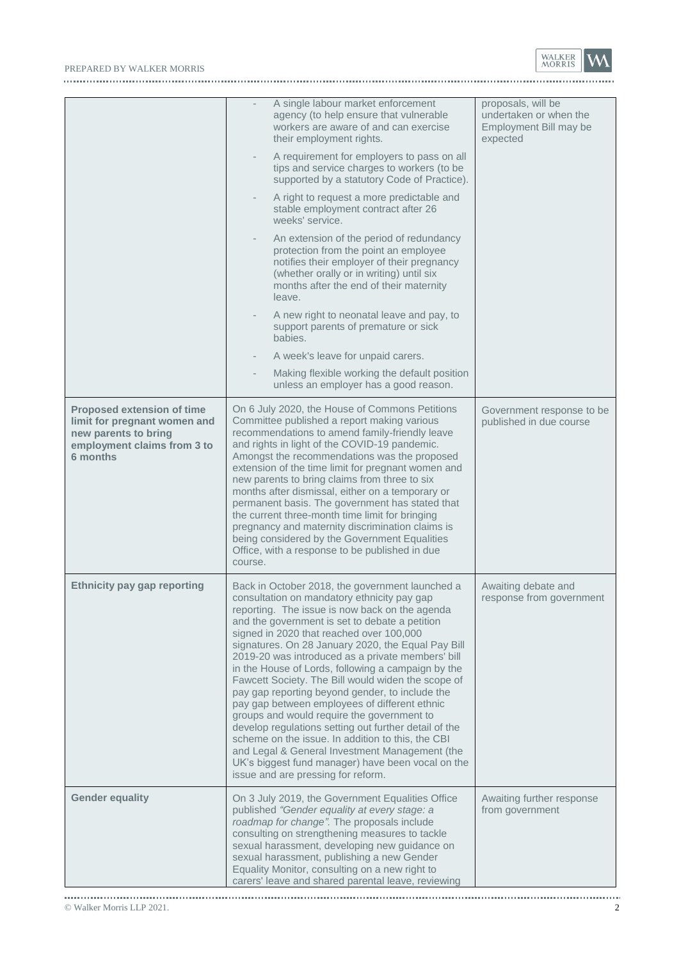## PREPARED BY WALKER MORRIS WARRIS



|                                                                                                                                      | A single labour market enforcement<br>agency (to help ensure that vulnerable<br>workers are aware of and can exercise<br>their employment rights.                                                                                                                                                                                                                                                                                                                                                                                                                                                                                                                                                                                                                                                                                                                                  | proposals, will be<br>undertaken or when the<br>Employment Bill may be<br>expected |
|--------------------------------------------------------------------------------------------------------------------------------------|------------------------------------------------------------------------------------------------------------------------------------------------------------------------------------------------------------------------------------------------------------------------------------------------------------------------------------------------------------------------------------------------------------------------------------------------------------------------------------------------------------------------------------------------------------------------------------------------------------------------------------------------------------------------------------------------------------------------------------------------------------------------------------------------------------------------------------------------------------------------------------|------------------------------------------------------------------------------------|
|                                                                                                                                      | A requirement for employers to pass on all<br>tips and service charges to workers (to be<br>supported by a statutory Code of Practice).                                                                                                                                                                                                                                                                                                                                                                                                                                                                                                                                                                                                                                                                                                                                            |                                                                                    |
|                                                                                                                                      | A right to request a more predictable and<br>stable employment contract after 26<br>weeks' service.                                                                                                                                                                                                                                                                                                                                                                                                                                                                                                                                                                                                                                                                                                                                                                                |                                                                                    |
|                                                                                                                                      | An extension of the period of redundancy<br>protection from the point an employee<br>notifies their employer of their pregnancy<br>(whether orally or in writing) until six<br>months after the end of their maternity<br>leave.                                                                                                                                                                                                                                                                                                                                                                                                                                                                                                                                                                                                                                                   |                                                                                    |
|                                                                                                                                      | A new right to neonatal leave and pay, to<br>support parents of premature or sick<br>babies.                                                                                                                                                                                                                                                                                                                                                                                                                                                                                                                                                                                                                                                                                                                                                                                       |                                                                                    |
|                                                                                                                                      | A week's leave for unpaid carers.                                                                                                                                                                                                                                                                                                                                                                                                                                                                                                                                                                                                                                                                                                                                                                                                                                                  |                                                                                    |
|                                                                                                                                      | Making flexible working the default position<br>unless an employer has a good reason.                                                                                                                                                                                                                                                                                                                                                                                                                                                                                                                                                                                                                                                                                                                                                                                              |                                                                                    |
| <b>Proposed extension of time</b><br>limit for pregnant women and<br>new parents to bring<br>employment claims from 3 to<br>6 months | On 6 July 2020, the House of Commons Petitions<br>Committee published a report making various<br>recommendations to amend family-friendly leave<br>and rights in light of the COVID-19 pandemic.<br>Amongst the recommendations was the proposed<br>extension of the time limit for pregnant women and<br>new parents to bring claims from three to six<br>months after dismissal, either on a temporary or<br>permanent basis. The government has stated that<br>the current three-month time limit for bringing<br>pregnancy and maternity discrimination claims is<br>being considered by the Government Equalities<br>Office, with a response to be published in due<br>course.                                                                                                                                                                                                | Government response to be<br>published in due course                               |
| <b>Ethnicity pay gap reporting</b>                                                                                                   | Back in October 2018, the government launched a<br>consultation on mandatory ethnicity pay gap<br>reporting. The issue is now back on the agenda<br>and the government is set to debate a petition<br>signed in 2020 that reached over 100,000<br>signatures. On 28 January 2020, the Equal Pay Bill<br>2019-20 was introduced as a private members' bill<br>in the House of Lords, following a campaign by the<br>Fawcett Society. The Bill would widen the scope of<br>pay gap reporting beyond gender, to include the<br>pay gap between employees of different ethnic<br>groups and would require the government to<br>develop regulations setting out further detail of the<br>scheme on the issue. In addition to this, the CBI<br>and Legal & General Investment Management (the<br>UK's biggest fund manager) have been vocal on the<br>issue and are pressing for reform. | Awaiting debate and<br>response from government                                    |
| <b>Gender equality</b>                                                                                                               | On 3 July 2019, the Government Equalities Office<br>published "Gender equality at every stage: a<br>roadmap for change". The proposals include<br>consulting on strengthening measures to tackle<br>sexual harassment, developing new guidance on<br>sexual harassment, publishing a new Gender<br>Equality Monitor, consulting on a new right to<br>carers' leave and shared parental leave, reviewing                                                                                                                                                                                                                                                                                                                                                                                                                                                                            | Awaiting further response<br>from government                                       |